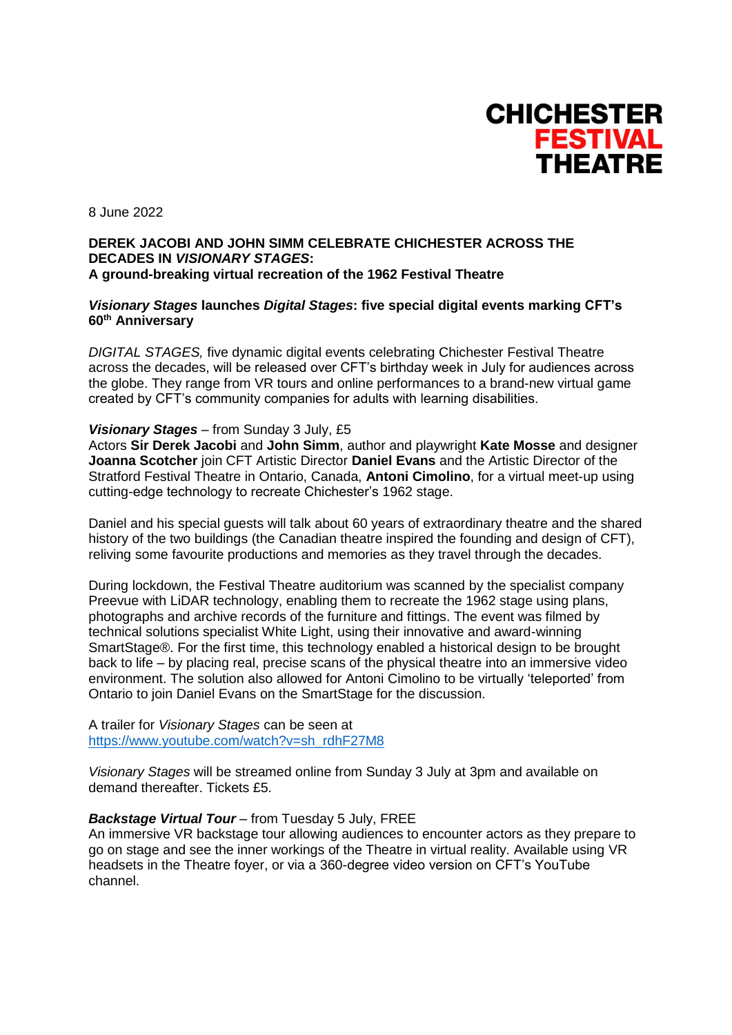

8 June 2022

### **DEREK JACOBI AND JOHN SIMM CELEBRATE CHICHESTER ACROSS THE DECADES IN** *VISIONARY STAGES***: A ground-breaking virtual recreation of the 1962 Festival Theatre**

### *Visionary Stages* **launches** *Digital Stages***: five special digital events marking CFT's 60th Anniversary**

*DIGITAL STAGES,* five dynamic digital events celebrating Chichester Festival Theatre across the decades, will be released over CFT's birthday week in July for audiences across the globe. They range from VR tours and online performances to a brand-new virtual game created by CFT's community companies for adults with learning disabilities.

#### *Visionary Stages* – from Sunday 3 July, £5

Actors **Sir Derek Jacobi** and **John Simm**, author and playwright **Kate Mosse** and designer **Joanna Scotcher** join CFT Artistic Director **Daniel Evans** and the Artistic Director of the Stratford Festival Theatre in Ontario, Canada, **Antoni Cimolino**, for a virtual meet-up using cutting-edge technology to recreate Chichester's 1962 stage.

Daniel and his special guests will talk about 60 years of extraordinary theatre and the shared history of the two buildings (the Canadian theatre inspired the founding and design of CFT), reliving some favourite productions and memories as they travel through the decades.

During lockdown, the Festival Theatre auditorium was scanned by the specialist company Preevue with LiDAR technology, enabling them to recreate the 1962 stage using plans, photographs and archive records of the furniture and fittings. The event was filmed by technical solutions specialist White Light, using their innovative and award-winning SmartStage®. For the first time, this technology enabled a historical design to be brought back to life – by placing real, precise scans of the physical theatre into an immersive video environment. The solution also allowed for Antoni Cimolino to be virtually 'teleported' from Ontario to join Daniel Evans on the SmartStage for the discussion.

A trailer for *Visionary Stages* can be seen at [https://www.youtube.com/watch?v=sh\\_rdhF27M8](https://www.youtube.com/watch?v=sh_rdhF27M8)

*Visionary Stages* will be streamed online from Sunday 3 July at 3pm and available on demand thereafter. Tickets £5.

#### *Backstage Virtual Tour* – from Tuesday 5 July, FREE

An immersive VR backstage tour allowing audiences to encounter actors as they prepare to go on stage and see the inner workings of the Theatre in virtual reality. Available using VR headsets in the Theatre foyer, or via a 360-degree video version on CFT's YouTube channel.